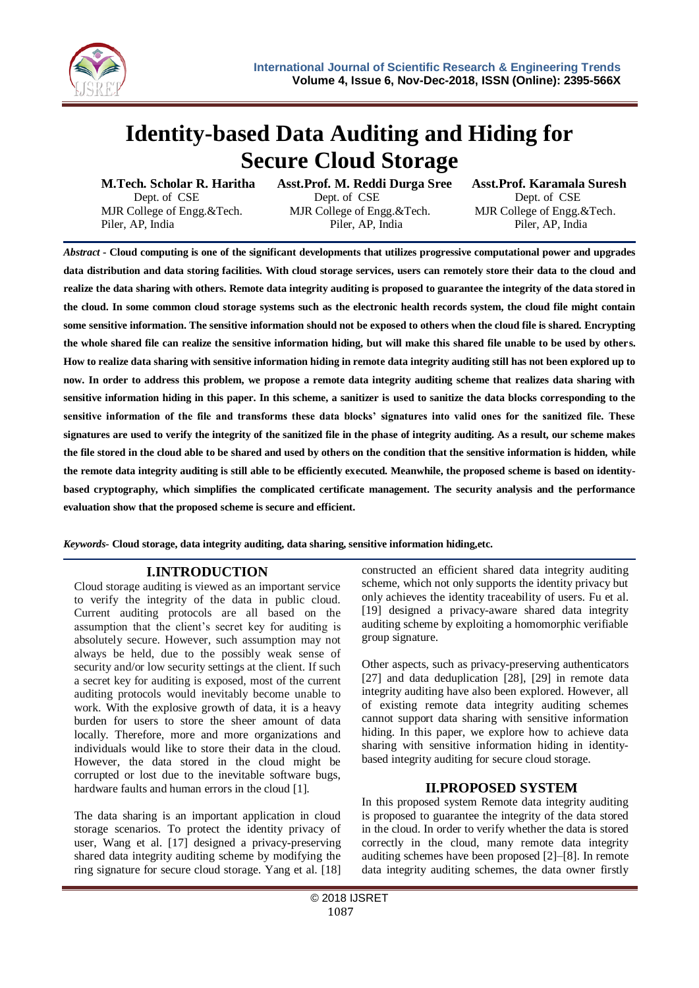

# **Identity-based Data Auditing and Hiding for Secure Cloud Storage**

**M.Tech. Scholar R. Haritha Asst.Prof. M. Reddi Durga Sree Asst.Prof. Karamala Suresh** Dept. of CSE Dept. of CSE Dept. of CSE MJR College of Engg.&Tech. MJR College of Engg.&Tech. MJR College of Engg.&Tech. Piler, AP, India Piler, AP, India Piler, AP, India

*Abstract* **- Cloud computing is one of the significant developments that utilizes progressive computational power and upgrades data distribution and data storing facilities. With cloud storage services, users can remotely store their data to the cloud and realize the data sharing with others. Remote data integrity auditing is proposed to guarantee the integrity of the data stored in the cloud. In some common cloud storage systems such as the electronic health records system, the cloud file might contain some sensitive information. The sensitive information should not be exposed to others when the cloud file is shared. Encrypting the whole shared file can realize the sensitive information hiding, but will make this shared file unable to be used by others. How to realize data sharing with sensitive information hiding in remote data integrity auditing still has not been explored up to now. In order to address this problem, we propose a remote data integrity auditing scheme that realizes data sharing with sensitive information hiding in this paper. In this scheme, a sanitizer is used to sanitize the data blocks corresponding to the sensitive information of the file and transforms these data blocks' signatures into valid ones for the sanitized file. These signatures are used to verify the integrity of the sanitized file in the phase of integrity auditing. As a result, our scheme makes the file stored in the cloud able to be shared and used by others on the condition that the sensitive information is hidden, while the remote data integrity auditing is still able to be efficiently executed. Meanwhile, the proposed scheme is based on identitybased cryptography, which simplifies the complicated certificate management. The security analysis and the performance evaluation show that the proposed scheme is secure and efficient.**

*Keywords-* **Cloud storage, data integrity auditing, data sharing, sensitive information hiding,etc.**

## **I.INTRODUCTION**

Cloud storage auditing is viewed as an important service to verify the integrity of the data in public cloud. Current auditing protocols are all based on the assumption that the client's secret key for auditing is absolutely secure. However, such assumption may not always be held, due to the possibly weak sense of security and/or low security settings at the client. If such a secret key for auditing is exposed, most of the current auditing protocols would inevitably become unable to work. With the explosive growth of data, it is a heavy burden for users to store the sheer amount of data locally. Therefore, more and more organizations and individuals would like to store their data in the cloud. However, the data stored in the cloud might be corrupted or lost due to the inevitable software bugs, hardware faults and human errors in the cloud [1].

The data sharing is an important application in cloud storage scenarios. To protect the identity privacy of user, Wang et al. [17] designed a privacy-preserving shared data integrity auditing scheme by modifying the ring signature for secure cloud storage. Yang et al. [18] constructed an efficient shared data integrity auditing scheme, which not only supports the identity privacy but only achieves the identity traceability of users. Fu et al. [19] designed a privacy-aware shared data integrity auditing scheme by exploiting a homomorphic verifiable group signature.

Other aspects, such as privacy-preserving authenticators [27] and data deduplication [28], [29] in remote data integrity auditing have also been explored. However, all of existing remote data integrity auditing schemes cannot support data sharing with sensitive information hiding. In this paper, we explore how to achieve data sharing with sensitive information hiding in identitybased integrity auditing for secure cloud storage.

## **II.PROPOSED SYSTEM**

In this proposed system Remote data integrity auditing is proposed to guarantee the integrity of the data stored in the cloud. In order to verify whether the data is stored correctly in the cloud, many remote data integrity auditing schemes have been proposed [2]–[8]. In remote data integrity auditing schemes, the data owner firstly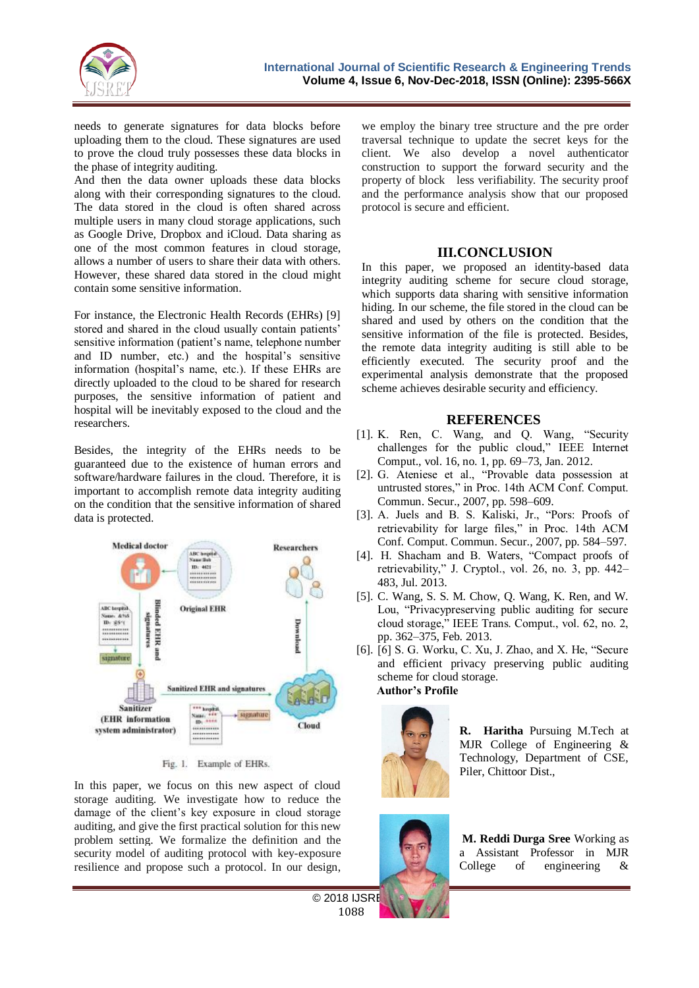

needs to generate signatures for data blocks before uploading them to the cloud. These signatures are used to prove the cloud truly possesses these data blocks in the phase of integrity auditing.

And then the data owner uploads these data blocks along with their corresponding signatures to the cloud. The data stored in the cloud is often shared across multiple users in many cloud storage applications, such as Google Drive, Dropbox and iCloud. Data sharing as one of the most common features in cloud storage, allows a number of users to share their data with others. However, these shared data stored in the cloud might contain some sensitive information.

For instance, the Electronic Health Records (EHRs) [9] stored and shared in the cloud usually contain patients' sensitive information (patient's name, telephone number and ID number, etc.) and the hospital's sensitive information (hospital's name, etc.). If these EHRs are directly uploaded to the cloud to be shared for research purposes, the sensitive information of patient and hospital will be inevitably exposed to the cloud and the researchers.

Besides, the integrity of the EHRs needs to be guaranteed due to the existence of human errors and software/hardware failures in the cloud. Therefore, it is important to accomplish remote data integrity auditing on the condition that the sensitive information of shared data is protected.



Fig. 1. Example of EHRs.

In this paper, we focus on this new aspect of cloud storage auditing. We investigate how to reduce the damage of the client's key exposure in cloud storage auditing, and give the first practical solution for this new problem setting. We formalize the definition and the security model of auditing protocol with key-exposure resilience and propose such a protocol. In our design, we employ the binary tree structure and the pre order traversal technique to update the secret keys for the client. We also develop a novel authenticator construction to support the forward security and the property of block less verifiability. The security proof and the performance analysis show that our proposed protocol is secure and efficient.

#### **III.CONCLUSION**

In this paper, we proposed an identity-based data integrity auditing scheme for secure cloud storage, which supports data sharing with sensitive information hiding. In our scheme, the file stored in the cloud can be shared and used by others on the condition that the sensitive information of the file is protected. Besides, the remote data integrity auditing is still able to be efficiently executed. The security proof and the experimental analysis demonstrate that the proposed scheme achieves desirable security and efficiency.

#### **REFERENCES**

- [1]. K. Ren, C. Wang, and Q. Wang, "Security challenges for the public cloud," IEEE Internet Comput., vol. 16, no. 1, pp. 69–73, Jan. 2012.
- [2]. G. Ateniese et al., "Provable data possession at untrusted stores," in Proc. 14th ACM Conf. Comput. Commun. Secur., 2007, pp. 598–609.
- [3]. A. Juels and B. S. Kaliski, Jr., "Pors: Proofs of retrievability for large files," in Proc. 14th ACM Conf. Comput. Commun. Secur., 2007, pp. 584–597.
- [4]. H. Shacham and B. Waters, "Compact proofs of retrievability," J. Cryptol., vol. 26, no. 3, pp. 442– 483, Jul. 2013.
- [5]. C. Wang, S. S. M. Chow, Q. Wang, K. Ren, and W. Lou, "Privacypreserving public auditing for secure cloud storage," IEEE Trans. Comput., vol. 62, no. 2, pp. 362–375, Feb. 2013.
- [6]. [6] S. G. Worku, C. Xu, J. Zhao, and X. He, "Secure and efficient privacy preserving public auditing scheme for cloud storage.  **Author's Profile**



**R. Haritha** Pursuing M.Tech at MJR College of Engineering & Technology, Department of CSE, Piler, Chittoor Dist.,



**M. Reddi Durga Sree** Working as a Assistant Professor in MJR College of engineering &

© 2018 IJSRE 1088